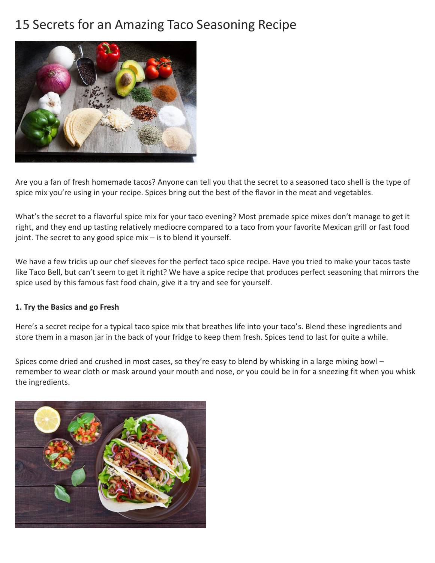# 15 Secrets for an Amazing Taco Seasoning Recipe



Are you a fan of fresh homemade tacos? Anyone can tell you that the secret to a seasoned taco shell is the type of spice mix you're using in your recipe. Spices bring out the best of the flavor in the meat and vegetables.

What's the secret to a flavorful spice mix for your taco evening? Most premade spice mixes don't manage to get it right, and they end up tasting relatively mediocre compared to a taco from your favorite Mexican grill or fast food joint. The secret to any good spice mix – is to blend it yourself.

We have a few tricks up our chef sleeves for the perfect taco spice recipe. Have you tried to make your tacos taste like Taco Bell, but can't seem to get it right? We have a spice recipe that produces perfect seasoning that mirrors the spice used by this famous fast food chain, give it a try and see for yourself.

# **1. Try the Basics and go Fresh**

Here's a secret recipe for a typical taco spice mix that breathes life into your taco's. Blend these ingredients and store them in a mason jar in the back of your fridge to keep them fresh. Spices tend to last for quite a while.

Spices come dried and crushed in most cases, so they're easy to blend by whisking in a large mixing bowl – remember to wear cloth or mask around your mouth and nose, or you could be in for a sneezing fit when you whisk the ingredients.

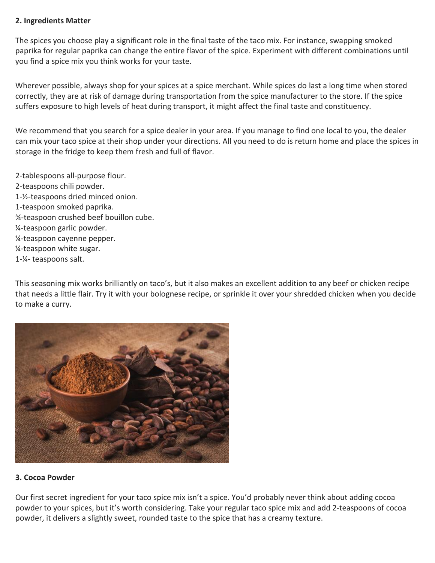#### **2. Ingredients Matter**

The spices you choose play a significant role in the final taste of the taco mix. For instance, swapping smoked paprika for regular paprika can change the entire flavor of the spice. Experiment with different combinations until you find a spice mix you think works for your taste.

Wherever possible, always shop for your spices at a spice merchant. While spices do last a long time when stored correctly, they are at risk of damage during transportation from the spice manufacturer to the store. If the spice suffers exposure to high levels of heat during transport, it might affect the final taste and constituency.

We recommend that you search for a spice dealer in your area. If you manage to find one local to you, the dealer can mix your taco spice at their shop under your directions. All you need to do is return home and place the spices in storage in the fridge to keep them fresh and full of flavor.

- 2-tablespoons all-purpose flour.
- 2-teaspoons chili powder.
- 1-½-teaspoons dried minced onion.
- 1-teaspoon smoked paprika.
- ¾-teaspoon crushed beef bouillon cube.
- ¼-teaspoon garlic powder.
- ¼-teaspoon cayenne pepper.
- ¼-teaspoon white sugar.
- 1-¼- teaspoons salt.

This seasoning mix works brilliantly on taco's, but it also makes an excellent addition to any beef or chicken recipe that needs a little flair. Try it with your bolognese recipe, or sprinkle it over your shredded chicken when you decide to make a curry.



#### **3. Cocoa Powder**

Our first secret ingredient for your taco spice mix isn't a spice. You'd probably never think about adding cocoa powder to your spices, but it's worth considering. Take your regular taco spice mix and add 2-teaspoons of cocoa powder, it delivers a slightly sweet, rounded taste to the spice that has a creamy texture.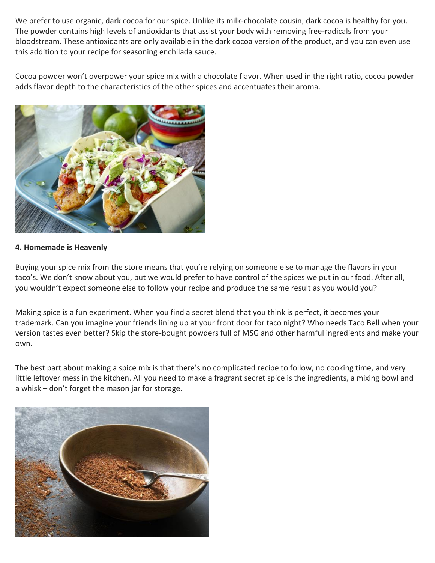We prefer to use organic, dark cocoa for our spice. Unlike its milk-chocolate cousin, dark cocoa is healthy for you. The powder contains high levels of antioxidants that assist your body with removing free-radicals from your bloodstream. These antioxidants are only available in the dark cocoa version of the product, and you can even use this addition to your recipe for seasoning enchilada sauce.

Cocoa powder won't overpower your spice mix with a chocolate flavor. When used in the right ratio, cocoa powder adds flavor depth to the characteristics of the other spices and accentuates their aroma.



### **4. Homemade is Heavenly**

Buying your spice mix from the store means that you're relying on someone else to manage the flavors in your taco's. We don't know about you, but we would prefer to have control of the spices we put in our food. After all, you wouldn't expect someone else to follow your recipe and produce the same result as you would you?

Making spice is a fun experiment. When you find a secret blend that you think is perfect, it becomes your trademark. Can you imagine your friends lining up at your front door for taco night? Who needs Taco Bell when your version tastes even better? Skip the store-bought powders full of MSG and other harmful ingredients and make your own.

The best part about making a spice mix is that there's no complicated recipe to follow, no cooking time, and very little leftover mess in the kitchen. All you need to make a fragrant secret spice is the ingredients, a mixing bowl and a whisk – don't forget the mason jar for storage.

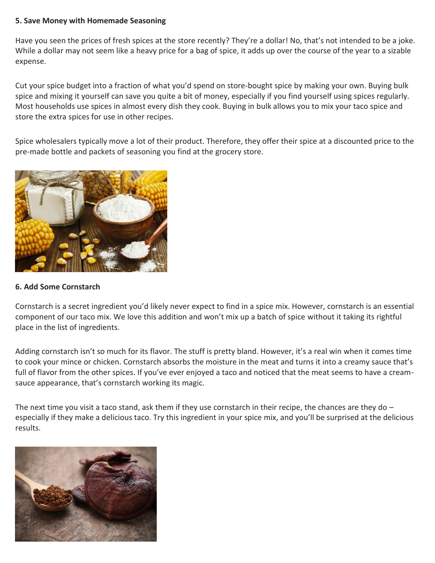#### **5. Save Money with Homemade Seasoning**

Have you seen the prices of fresh spices at the store recently? They're a dollar! No, that's not intended to be a joke. While a dollar may not seem like a heavy price for a bag of spice, it adds up over the course of the year to a sizable expense.

Cut your spice budget into a fraction of what you'd spend on store-bought spice by making your own. Buying bulk spice and mixing it yourself can save you quite a bit of money, especially if you find yourself using spices regularly. Most households use spices in almost every dish they cook. Buying in bulk allows you to mix your taco spice and store the extra spices for use in other recipes.

Spice wholesalers typically move a lot of their product. Therefore, they offer their spice at a discounted price to the pre-made bottle and packets of seasoning you find at the grocery store.



# **6. Add Some Cornstarch**

Cornstarch is a secret ingredient you'd likely never expect to find in a spice mix. However, cornstarch is an essential component of our taco mix. We love this addition and won't mix up a batch of spice without it taking its rightful place in the list of ingredients.

Adding cornstarch isn't so much for its flavor. The stuff is pretty bland. However, it's a real win when it comes time to cook your mince or chicken. Cornstarch absorbs the moisture in the meat and turns it into a creamy sauce that's full of flavor from the other spices. If you've ever enjoyed a taco and noticed that the meat seems to have a creamsauce appearance, that's cornstarch working its magic.

The next time you visit a taco stand, ask them if they use cornstarch in their recipe, the chances are they do  $$ especially if they make a delicious taco. Try this ingredient in your spice mix, and you'll be surprised at the delicious results.

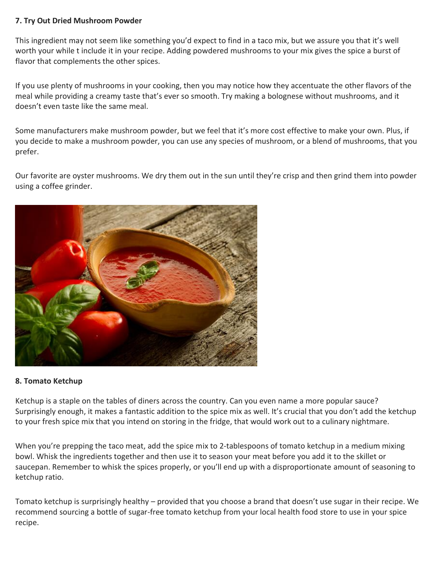## **7. Try Out Dried Mushroom Powder**

This ingredient may not seem like something you'd expect to find in a taco mix, but we assure you that it's well worth your while t include it in your recipe. Adding powdered mushrooms to your mix gives the spice a burst of flavor that complements the other spices.

If you use plenty of mushrooms in your cooking, then you may notice how they accentuate the other flavors of the meal while providing a creamy taste that's ever so smooth. Try making a bolognese without mushrooms, and it doesn't even taste like the same meal.

Some manufacturers make mushroom powder, but we feel that it's more cost effective to make your own. Plus, if you decide to make a mushroom powder, you can use any species of mushroom, or a blend of mushrooms, that you prefer.

Our favorite are oyster mushrooms. We dry them out in the sun until they're crisp and then grind them into powder using a coffee grinder.



#### **8. Tomato Ketchup**

Ketchup is a staple on the tables of diners across the country. Can you even name a more popular sauce? Surprisingly enough, it makes a fantastic addition to the spice mix as well. It's crucial that you don't add the ketchup to your fresh spice mix that you intend on storing in the fridge, that would work out to a culinary nightmare.

When you're prepping the taco meat, add the spice mix to 2-tablespoons of tomato ketchup in a medium mixing bowl. Whisk the ingredients together and then use it to season your meat before you add it to the skillet or saucepan. Remember to whisk the spices properly, or you'll end up with a disproportionate amount of seasoning to ketchup ratio.

Tomato ketchup is surprisingly healthy – provided that you choose a brand that doesn't use sugar in their recipe. We recommend sourcing a bottle of sugar-free tomato ketchup from your local health food store to use in your spice recipe.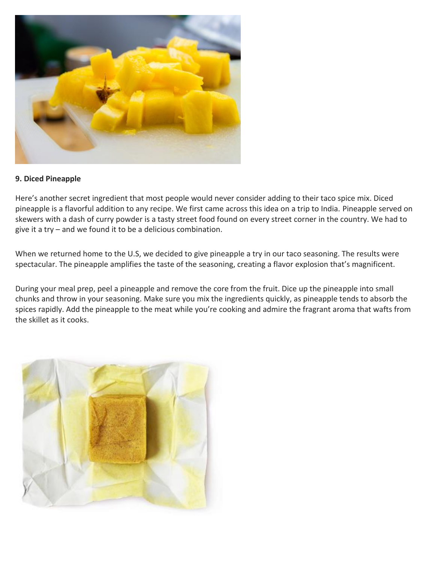

### **9. Diced Pineapple**

Here's another secret ingredient that most people would never consider adding to their taco spice mix. Diced pineapple is a flavorful addition to any recipe. We first came across this idea on a trip to India. Pineapple served on skewers with a dash of curry powder is a tasty street food found on every street corner in the country. We had to give it a try – and we found it to be a delicious combination.

When we returned home to the U.S, we decided to give pineapple a try in our taco seasoning. The results were spectacular. The pineapple amplifies the taste of the seasoning, creating a flavor explosion that's magnificent.

During your meal prep, peel a pineapple and remove the core from the fruit. Dice up the pineapple into small chunks and throw in your seasoning. Make sure you mix the ingredients quickly, as pineapple tends to absorb the spices rapidly. Add the pineapple to the meat while you're cooking and admire the fragrant aroma that wafts from the skillet as it cooks.

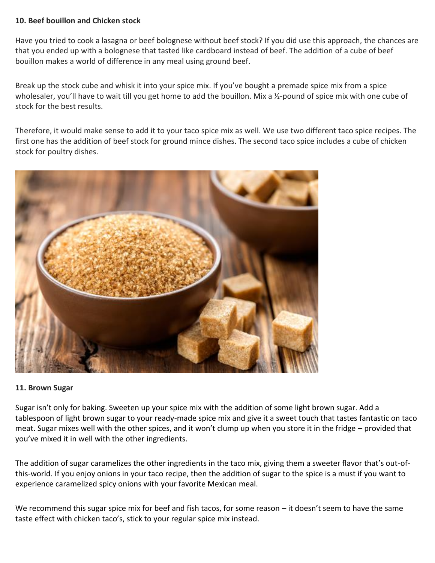#### **10. Beef bouillon and Chicken stock**

Have you tried to cook a lasagna or beef bolognese without beef stock? If you did use this approach, the chances are that you ended up with a bolognese that tasted like cardboard instead of beef. The addition of a cube of beef bouillon makes a world of difference in any meal using ground beef.

Break up the stock cube and whisk it into your spice mix. If you've bought a premade spice mix from a spice wholesaler, you'll have to wait till you get home to add the bouillon. Mix a ½-pound of spice mix with one cube of stock for the best results.

Therefore, it would make sense to add it to your taco spice mix as well. We use two different taco spice recipes. The first one has the addition of beef stock for ground mince dishes. The second taco spice includes a cube of chicken stock for poultry dishes.



#### **11. Brown Sugar**

Sugar isn't only for baking. Sweeten up your spice mix with the addition of some light brown sugar. Add a tablespoon of light brown sugar to your ready-made spice mix and give it a sweet touch that tastes fantastic on taco meat. Sugar mixes well with the other spices, and it won't clump up when you store it in the fridge – provided that you've mixed it in well with the other ingredients.

The addition of sugar caramelizes the other ingredients in the taco mix, giving them a sweeter flavor that's out-ofthis-world. If you enjoy onions in your taco recipe, then the addition of sugar to the spice is a must if you want to experience caramelized spicy onions with your favorite Mexican meal.

We recommend this sugar spice mix for beef and fish tacos, for some reason – it doesn't seem to have the same taste effect with chicken taco's, stick to your regular spice mix instead.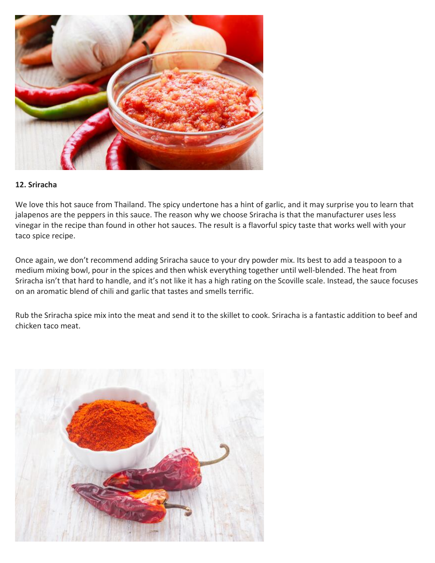

### **12. Sriracha**

We love this hot sauce from Thailand. The spicy undertone has a hint of garlic, and it may surprise you to learn that jalapenos are the peppers in this sauce. The reason why we choose Sriracha is that the manufacturer uses less vinegar in the recipe than found in other hot sauces. The result is a flavorful spicy taste that works well with your taco spice recipe.

Once again, we don't recommend adding Sriracha sauce to your dry powder mix. Its best to add a teaspoon to a medium mixing bowl, pour in the spices and then whisk everything together until well-blended. The heat from Sriracha isn't that hard to handle, and it's not like it has a high rating on the Scoville scale. Instead, the sauce focuses on an aromatic blend of chili and garlic that tastes and smells terrific.

Rub the Sriracha spice mix into the meat and send it to the skillet to cook. Sriracha is a fantastic addition to beef and chicken taco meat.

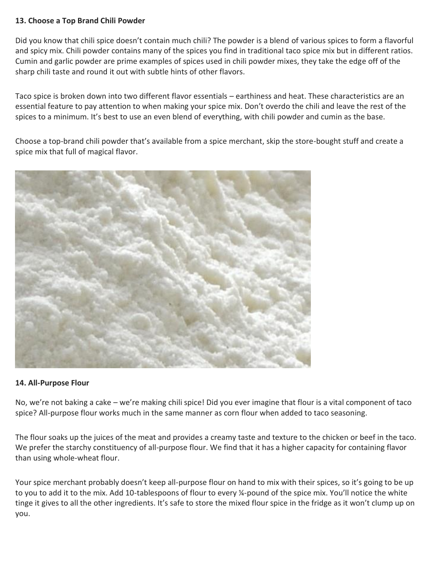## **13. Choose a Top Brand Chili Powder**

Did you know that chili spice doesn't contain much chili? The powder is a blend of various spices to form a flavorful and spicy mix. Chili powder contains many of the spices you find in traditional taco spice mix but in different ratios. Cumin and garlic powder are prime examples of spices used in chili powder mixes, they take the edge off of the sharp chili taste and round it out with subtle hints of other flavors.

Taco spice is broken down into two different flavor essentials – earthiness and heat. These characteristics are an essential feature to pay attention to when making your spice mix. Don't overdo the chili and leave the rest of the spices to a minimum. It's best to use an even blend of everything, with chili powder and cumin as the base.

Choose a top-brand chili powder that's available from a spice merchant, skip the store-bought stuff and create a spice mix that full of magical flavor.



# **14. All-Purpose Flour**

No, we're not baking a cake – we're making chili spice! Did you ever imagine that flour is a vital component of taco spice? All-purpose flour works much in the same manner as corn flour when added to taco seasoning.

The flour soaks up the juices of the meat and provides a creamy taste and texture to the chicken or beef in the taco. We prefer the starchy constituency of all-purpose flour. We find that it has a higher capacity for containing flavor than using whole-wheat flour.

Your spice merchant probably doesn't keep all-purpose flour on hand to mix with their spices, so it's going to be up to you to add it to the mix. Add 10-tablespoons of flour to every ¼-pound of the spice mix. You'll notice the white tinge it gives to all the other ingredients. It's safe to store the mixed flour spice in the fridge as it won't clump up on you.